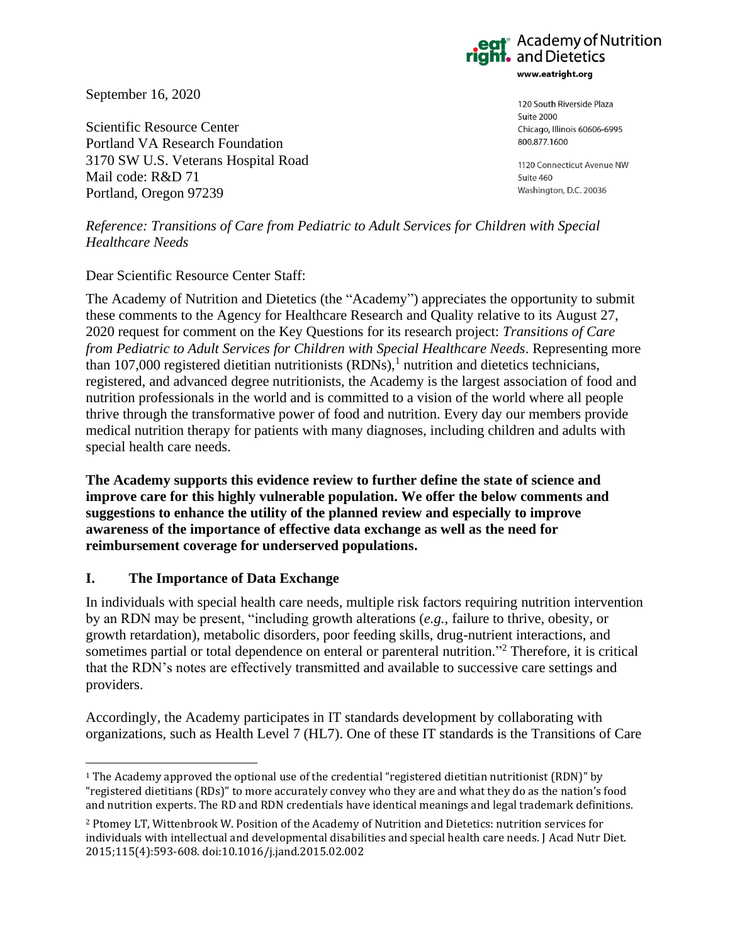September 16, 2020

Scientific Resource Center Portland VA Research Foundation 3170 SW U.S. Veterans Hospital Road Mail code: R&D 71 Portland, Oregon 97239

**Academy of Nutrition** and Dietetics www.eatright.org

> 120 South Riverside Plaza **Suite 2000** Chicago, Illinois 60606-6995 800.877.1600

1120 Connecticut Avenue NW Suite 460 Washington, D.C. 20036

*Reference: Transitions of Care from Pediatric to Adult Services for Children with Special Healthcare Needs*

## Dear Scientific Resource Center Staff:

The Academy of Nutrition and Dietetics (the "Academy") appreciates the opportunity to submit these comments to the Agency for Healthcare Research and Quality relative to its August 27, 2020 request for comment on the Key Questions for its research project: *Transitions of Care from Pediatric to Adult Services for Children with Special Healthcare Needs*. Representing more than 107,000 registered dietitian nutritionists  $(RDNs)$ ,<sup>1</sup> nutrition and dietetics technicians, registered, and advanced degree nutritionists, the Academy is the largest association of food and nutrition professionals in the world and is committed to a vision of the world where all people thrive through the transformative power of food and nutrition. Every day our members provide medical nutrition therapy for patients with many diagnoses, including children and adults with special health care needs.

**The Academy supports this evidence review to further define the state of science and improve care for this highly vulnerable population. We offer the below comments and suggestions to enhance the utility of the planned review and especially to improve awareness of the importance of effective data exchange as well as the need for reimbursement coverage for underserved populations.**

## **I. The Importance of Data Exchange**

In individuals with special health care needs, multiple risk factors requiring nutrition intervention by an RDN may be present, "including growth alterations (*e.g.*, failure to thrive, obesity, or growth retardation), metabolic disorders, poor feeding skills, drug-nutrient interactions, and sometimes partial or total dependence on enteral or parenteral nutrition."<sup>2</sup> Therefore, it is critical that the RDN's notes are effectively transmitted and available to successive care settings and providers.

Accordingly, the Academy participates in IT standards development by collaborating with organizations, such as Health Level 7 (HL7). One of these IT standards is the Transitions of Care

<sup>1</sup> The Academy approved the optional use of the credential "registered dietitian nutritionist (RDN)" by "registered dietitians (RDs)" to more accurately convey who they are and what they do as the nation's food and nutrition experts. The RD and RDN credentials have identical meanings and legal trademark definitions.

<sup>2</sup> Ptomey LT, Wittenbrook W. Position of the Academy of Nutrition and Dietetics: nutrition services for individuals with intellectual and developmental disabilities and special health care needs. J Acad Nutr Diet. 2015;115(4):593-608. doi:10.1016/j.jand.2015.02.002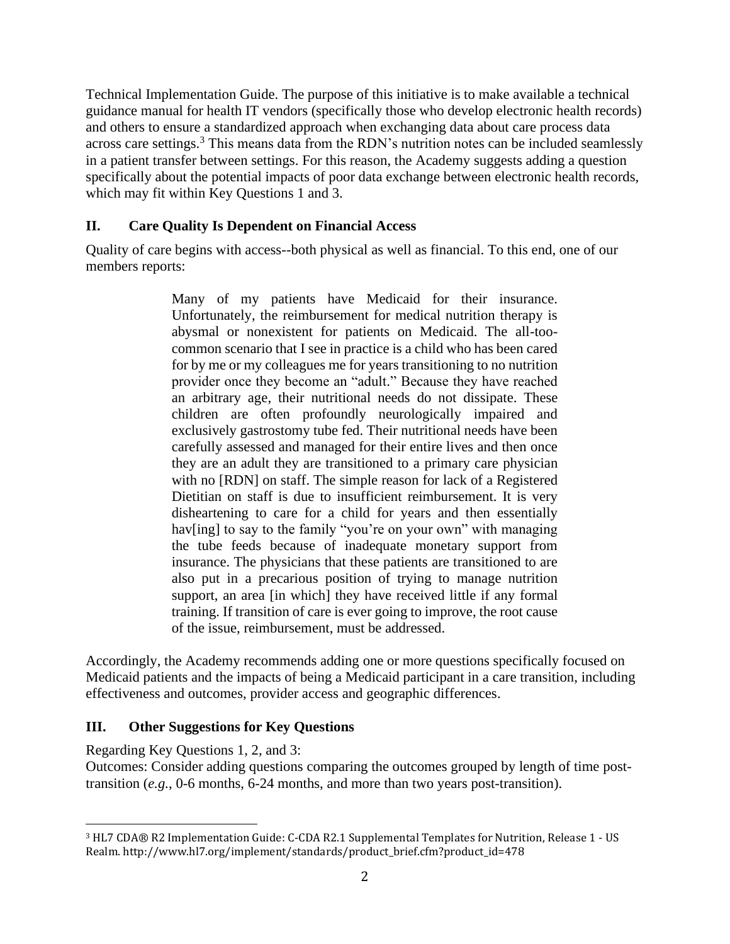Technical Implementation Guide. The purpose of this initiative is to make available a technical guidance manual for health IT vendors (specifically those who develop electronic health records) and others to ensure a standardized approach when exchanging data about care process data across care settings.<sup>3</sup> This means data from the RDN's nutrition notes can be included seamlessly in a patient transfer between settings. For this reason, the Academy suggests adding a question specifically about the potential impacts of poor data exchange between electronic health records, which may fit within Key Questions 1 and 3.

# **II. Care Quality Is Dependent on Financial Access**

Quality of care begins with access--both physical as well as financial. To this end, one of our members reports:

> Many of my patients have Medicaid for their insurance. Unfortunately, the reimbursement for medical nutrition therapy is abysmal or nonexistent for patients on Medicaid. The all-toocommon scenario that I see in practice is a child who has been cared for by me or my colleagues me for years transitioning to no nutrition provider once they become an "adult." Because they have reached an arbitrary age, their nutritional needs do not dissipate. These children are often profoundly neurologically impaired and exclusively gastrostomy tube fed. Their nutritional needs have been carefully assessed and managed for their entire lives and then once they are an adult they are transitioned to a primary care physician with no [RDN] on staff. The simple reason for lack of a Registered Dietitian on staff is due to insufficient reimbursement. It is very disheartening to care for a child for years and then essentially hav[ing] to say to the family "you're on your own" with managing the tube feeds because of inadequate monetary support from insurance. The physicians that these patients are transitioned to are also put in a precarious position of trying to manage nutrition support, an area [in which] they have received little if any formal training. If transition of care is ever going to improve, the root cause of the issue, reimbursement, must be addressed.

Accordingly, the Academy recommends adding one or more questions specifically focused on Medicaid patients and the impacts of being a Medicaid participant in a care transition, including effectiveness and outcomes, provider access and geographic differences.

## **III. Other Suggestions for Key Questions**

Regarding Key Questions 1, 2, and 3:

Outcomes: Consider adding questions comparing the outcomes grouped by length of time posttransition (*e.g.*, 0-6 months, 6-24 months, and more than two years post-transition).

<sup>3</sup> HL7 CDA® R2 Implementation Guide: C-CDA R2.1 Supplemental Templates for Nutrition, Release 1 - US Realm. http://www.hl7.org/implement/standards/product\_brief.cfm?product\_id=478